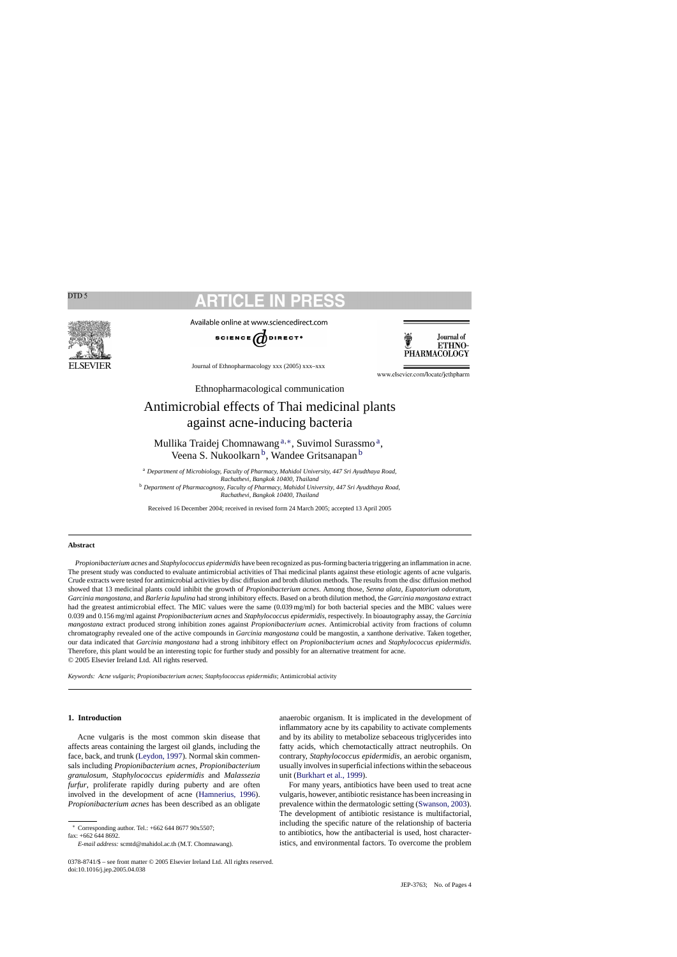# SEVIER

Available online at www.sciencedirect.com





Journal of Ethnopharmacology xxx (2005) xxx–xxx

www.elsevier.com/locate/jethpharm

Ethnopharmacological communication

# Antimicrobial effects of Thai medicinal plants against acne-inducing bacteria

Mullika Traidej Chomnawang <sup>a</sup>,∗, Suvimol Surassmo a, Veena S. Nukoolkarn<sup>b</sup>, Wandee Gritsanapan<sup>b</sup>

<sup>a</sup> *Department of Microbiology, Faculty of Pharmacy, Mahidol University, 447 Sri Ayudthaya Road, Rachathevi, Bangkok 10400, Thailand*

<sup>b</sup> *Department of Pharmacognosy, Faculty of Pharmacy, Mahidol University, 447 Sri Ayudthaya Road, Rachathevi, Bangkok 10400, Thailand*

Received 16 December 2004; received in revised form 24 March 2005; accepted 13 April 2005

### **Abstract**

*Propionibacterium acnes* and *Staphylococcus epidermidis* have been recognized as pus-forming bacteria triggering an inflammation in acne. The present study was conducted to evaluate antimicrobial activities of Thai medicinal plants against these etiologic agents of acne vulgaris. Crude extracts were tested for antimicrobial activities by disc diffusion and broth dilution methods. The results from the disc diffusion method showed that 13 medicinal plants could inhibit the growth of *Propionibacterium acnes*. Among those, *Senna alata*, *Eupatorium odoratum*, *Garcinia mangostana*, and *Barleria lupulina* had strong inhibitory effects. Based on a broth dilution method, the *Garcinia mangostana* extract had the greatest antimicrobial effect. The MIC values were the same (0.039 mg/ml) for both bacterial species and the MBC values were 0.039 and 0.156 mg/ml against *Propionibacterium acnes* and *Staphylococcus epidermidis*, respectively. In bioautography assay, the *Garcinia mangostana* extract produced strong inhibition zones against *Propionibacterium acnes*. Antimicrobial activity from fractions of column chromatography revealed one of the active compounds in *Garcinia mangostana* could be mangostin, a xanthone derivative. Taken together, our data indicated that *Garcinia mangostana* had a strong inhibitory effect on *Propionibacterium acnes* and *Staphylococcus epidermidis*. Therefore, this plant would be an interesting topic for further study and possibly for an alternative treatment for acne. © 2005 Elsevier Ireland Ltd. All rights reserved.

*Keywords: Acne vulgaris*; *Propionibacterium acnes*; *Staphylococcus epidermidis*; Antimicrobial activity

# **1. Introduction**

Acne vulgaris is the most common skin disease that affects areas containing the largest oil glands, including the face, back, and trunk [\(Leydon, 1997\).](#page-3-0) Normal skin commensals including *Propionibacterium acnes*, *Propionibacterium granulosum*, *Staphylococcus epidermidis* and *Malassezia furfur*, proliferate rapidly during puberty and are often involved in the development of acne [\(Hamnerius, 1996\)](#page-3-0). *Propionibacterium acnes* has been described as an obligate

∗ Corresponding author. Tel.: +662 644 8677 90x5507;

fax: +662 644 8692.

*E-mail address:* scmtd@mahidol.ac.th (M.T. Chomnawang).

anaerobic organism. It is implicated in the development of inflammatory acne by its capability to activate complements and by its ability to metabolize sebaceous triglycerides into fatty acids, which chemotactically attract neutrophils. On contrary, *Staphylococcus epidermidis*, an aerobic organism, usually involves in superficial infections within the sebaceous unit ([Burkhart et al., 1999\).](#page-3-0)

For many years, antibiotics have been used to treat acne vulgaris, however, antibiotic resistance has been increasing in prevalence within the dermatologic setting ([Swanson, 2003\).](#page-3-0) The development of antibiotic resistance is multifactorial, including the specific nature of the relationship of bacteria to antibiotics, how the antibacterial is used, host characteristics, and environmental factors. To overcome the problem

<sup>0378-8741/\$ –</sup> see front matter © 2005 Elsevier Ireland Ltd. All rights reserved. doi:10.1016/j.jep.2005.04.038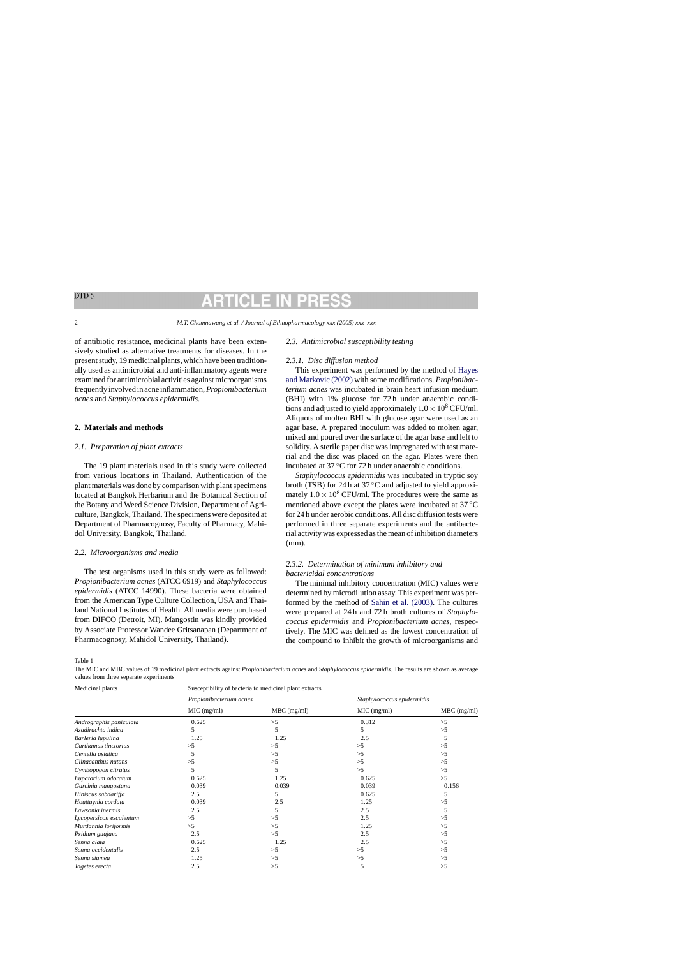<span id="page-1-0"></span>of antibiotic resistance, medicinal plants have been extensively studied as alternative treatments for diseases. In the present study, 19 medicinal plants, which have been traditionally used as antimicrobial and anti-inflammatory agents were examined for antimicrobial activities against microorganisms frequently involved in acne inflammation,*Propionibacterium acnes* and *Staphylococcus epidermidis*.

### **2. Materials and methods**

### *2.1. Preparation of plant extracts*

The 19 plant materials used in this study were collected from various locations in Thailand. Authentication of the plant materials was done by comparison with plant specimens located at Bangkok Herbarium and the Botanical Section of the Botany and Weed Science Division, Department of Agriculture, Bangkok, Thailand. The specimens were deposited at Department of Pharmacognosy, Faculty of Pharmacy, Mahidol University, Bangkok, Thailand.

### *2.2. Microorganisms and media*

The test organisms used in this study were as followed: *Propionibacterium acnes* (ATCC 6919) and *Staphylococcus epidermidis* (ATCC 14990). These bacteria were obtained from the American Type Culture Collection, USA and Thailand National Institutes of Health. All media were purchased from DIFCO (Detroit, MI). Mangostin was kindly provided by Associate Professor Wandee Gritsanapan (Department of Pharmacognosy, Mahidol University, Thailand).

### *2.3. Antimicrobial susceptibility testing*

### *2.3.1. Disc diffusion method*

This experiment was performed by the method of [Hayes](#page-3-0) [and Markovic \(2002\)](#page-3-0) with some modifications. *Propionibacterium acnes* was incubated in brain heart infusion medium (BHI) with 1% glucose for 72 h under anaerobic conditions and adjusted to yield approximately  $1.0 \times 10^8$  CFU/ml. Aliquots of molten BHI with glucose agar were used as an agar base. A prepared inoculum was added to molten agar, mixed and poured over the surface of the agar base and left to solidity. A sterile paper disc was impregnated with test material and the disc was placed on the agar. Plates were then incubated at 37 ◦C for 72 h under anaerobic conditions.

*Staphylococcus epidermidis* was incubated in tryptic soy broth (TSB) for 24 h at 37 ◦C and adjusted to yield approximately  $1.0 \times 10^8$  CFU/ml. The procedures were the same as mentioned above except the plates were incubated at 37 ◦C for 24 h under aerobic conditions. All disc diffusion tests were performed in three separate experiments and the antibacterial activity was expressed as the mean of inhibition diameters (mm).

# *2.3.2. Determination of minimum inhibitory and bactericidal concentrations*

The minimal inhibitory concentration (MIC) values were determined by microdilution assay. This experiment was performed by the method of [Sahin et al. \(2003\).](#page-3-0) The cultures were prepared at 24 h and 72 h broth cultures of *Staphylococcus epidermidis* and *Propionibacterium acnes*, respectively. The MIC was defined as the lowest concentration of the compound to inhibit the growth of microorganisms and

Table 1

The MIC and MBC values of 19 medicinal plant extracts against *Propionibacterium acnes* and *Staphylococcus epidermidis*. The results are shown as average values from three separate experiments

| Medicinal plants        | Susceptibility of bacteria to medicinal plant extracts |               |                            |               |
|-------------------------|--------------------------------------------------------|---------------|----------------------------|---------------|
|                         | Propionibacterium acnes                                |               | Staphylococcus epidermidis |               |
|                         | $MIC$ (mg/ml)                                          | $MBC$ (mg/ml) | MIC (mg/ml)                | $MBC$ (mg/ml) |
| Andrographis paniculata | 0.625                                                  | >5            | 0.312                      | >5            |
| Azadirachta indica      | 5                                                      | 5             |                            | >5            |
| Barleria lupulina       | 1.25                                                   | 1.25          | 2.5                        |               |
| Carthamus tinctorius    | >5                                                     | >5            | >5                         | >5            |
| Centella asiatica       | 5                                                      | >5            | >5                         | >5            |
| Clinacanthus nutans     | >5                                                     | >5            | >5                         | >5            |
| Cymbopogon citratus     | 5                                                      | 5             | >5                         | >5            |
| Eupatorium odoratum     | 0.625                                                  | 1.25          | 0.625                      | >5            |
| Garcinia mangostana     | 0.039                                                  | 0.039         | 0.039                      | 0.156         |
| Hibiscus sabdariffa     | 2.5                                                    | 5             | 0.625                      |               |
| Houttuynia cordata      | 0.039                                                  | 2.5           | 1.25                       | >5            |
| Lawsonia inermis        | 2.5                                                    | 5             | 2.5                        |               |
| Lycopersicon esculentum | >5                                                     | >5            | 2.5                        | >5            |
| Murdannia loriformis    | >5                                                     | >5            | 1.25                       | >5            |
| Psidium guajava         | 2.5                                                    | >5            | 2.5                        | >5            |
| Senna alata             | 0.625                                                  | 1.25          | 2.5                        | >5            |
| Senna occidentalis      | 2.5                                                    | >5            | >5                         | >5            |
| Senna siamea            | 1.25                                                   | >5            | >5                         | >5            |
| Tagetes erecta          | 2.5                                                    | >5            | 5                          | >5            |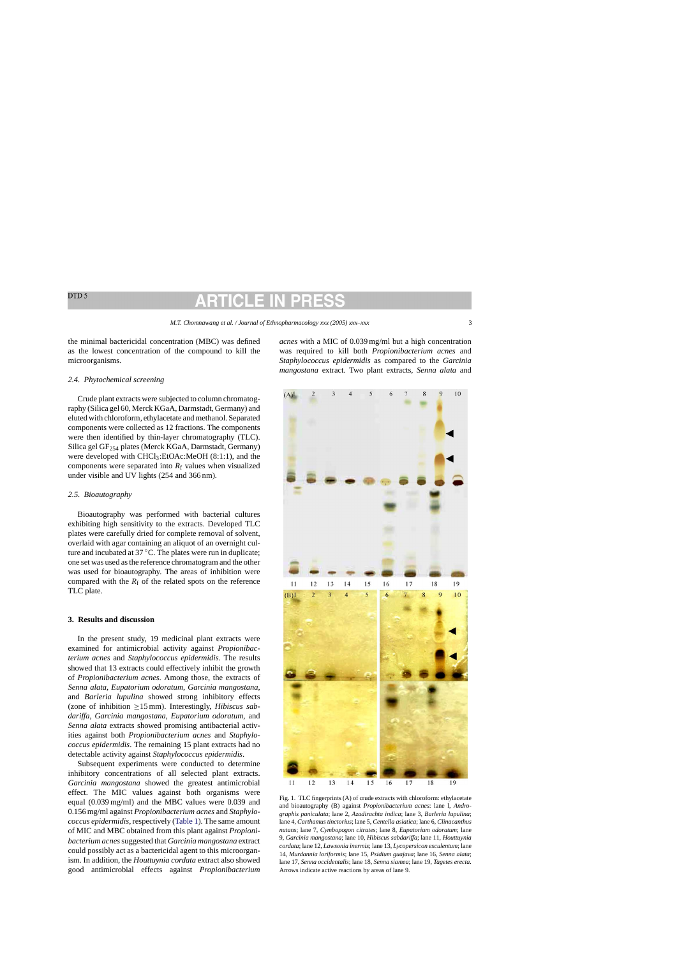<span id="page-2-0"></span>the minimal bactericidal concentration (MBC) was defined as the lowest concentration of the compound to kill the microorganisms.

### *2.4. Phytochemical screening*

Crude plant extracts were subjected to column chromatography (Silica gel 60, Merck KGaA, Darmstadt, Germany) and eluted with chloroform, ethylacetate and methanol. Separated components were collected as 12 fractions. The components were then identified by thin-layer chromatography (TLC). Silica gel GF254 plates (Merck KGaA, Darmstadt, Germany) were developed with CHCl3:EtOAc:MeOH (8:1:1), and the components were separated into  $R_f$  values when visualized under visible and UV lights (254 and 366 nm).

## *2.5. Bioautography*

Bioautography was performed with bacterial cultures exhibiting high sensitivity to the extracts. Developed TLC plates were carefully dried for complete removal of solvent, overlaid with agar containing an aliquot of an overnight culture and incubated at 37 ◦C. The plates were run in duplicate; one set was used as the reference chromatogram and the other was used for bioautography. The areas of inhibition were compared with the  $R_f$  of the related spots on the reference TLC plate.

### **3. Results and discussion**

In the present study, 19 medicinal plant extracts were examined for antimicrobial activity against *Propionibacterium acnes* and *Staphylococcus epidermidis*. The results showed that 13 extracts could effectively inhibit the growth of *Propionibacterium acnes*. Among those, the extracts of *Senna alata*, *Eupatorium odoratum*, *Garcinia mangostana*, and *Barleria lupulina* showed strong inhibitory effects (zone of inhibition ≥15 mm). Interestingly, *Hibiscus sabdariffa*, *Garcinia mangostana*, *Eupatorium odoratum*, and *Senna alata* extracts showed promising antibacterial activities against both *Propionibacterium acnes* and *Staphylococcus epidermidis*. The remaining 15 plant extracts had no detectable activity against *Staphylococcus epidermidis*.

Subsequent experiments were conducted to determine inhibitory concentrations of all selected plant extracts. *Garcinia mangostana* showed the greatest antimicrobial effect. The MIC values against both organisms were equal (0.039 mg/ml) and the MBC values were 0.039 and 0.156 mg/ml against *Propionibacterium acnes* and *Staphylococcus epidermidis*, respectively ([Table 1\).](#page-1-0) The same amount of MIC and MBC obtained from this plant against *Propionibacterium acnes*suggested that *Garcinia mangostana* extract could possibly act as a bactericidal agent to this microorganism. In addition, the *Houttuynia cordata* extract also showed good antimicrobial effects against *Propionibacterium*



*acnes* with a MIC of 0.039 mg/ml but a high concentration was required to kill both *Propionibacterium acnes* and *Staphylococcus epidermidis* as compared to the *Garcinia mangostana* extract. Two plant extracts, *Senna alata* and

Fig. 1. TLC fingerprints (A) of crude extracts with chloroform: ethylacetate and bioautography (B) against *Propionibacterium acnes*: lane l, *Andrographis paniculata*; lane 2, *Azadirachta indica*; lane 3, *Barleria lupulina*; lane 4, *Carthamus tinctorius*; lane 5, *Centella asiatica*; lane 6, *Clinacanthus nutans*; lane 7, *Cymbopogon citrates*; lane 8, *Eupatorium odoratum*; lane 9, *Garcinia mangostana*; lane 10, *Hibiscus sabdariffa*; lane 11, *Houttuynia cordata*; lane 12, *Lawsonia inermis*; lane 13, *Lycopersicon esculentum*; lane 14, *Murdannia loriformis*; lane 15, *Psidium guajava*; lane 16, *Senna alata*; lane 17, *Senna occidentalis*; lane 18, *Senna siamea*; lane 19, *Tagetes erecta*. Arrows indicate active reactions by areas of lane 9.